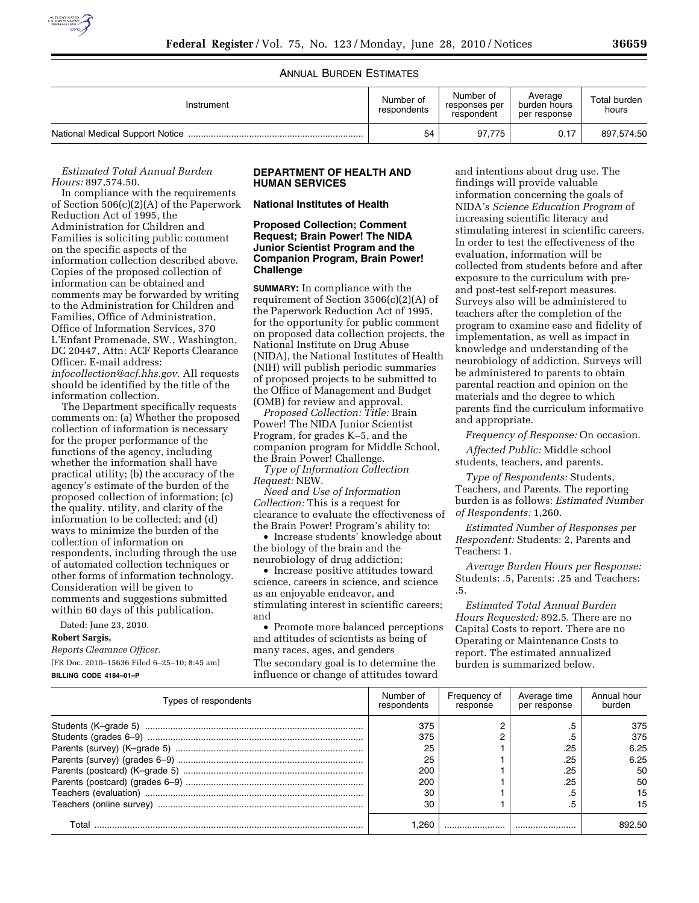

## ANNUAL BURDEN ESTIMATES

| Instrument | Number of<br>respondents | Number of<br>responses per<br>respondent | Average<br>burden hours<br>per response | Total burden<br>hours |
|------------|--------------------------|------------------------------------------|-----------------------------------------|-----------------------|
|            | 54                       | 97.775                                   | 0.17                                    | 897,574.50            |

#### *Estimated Total Annual Burden Hours:* 897,574.50.

In compliance with the requirements of Section 506(c)(2)(A) of the Paperwork Reduction Act of 1995, the Administration for Children and Families is soliciting public comment on the specific aspects of the information collection described above. Copies of the proposed collection of information can be obtained and comments may be forwarded by writing to the Administration for Children and Families, Office of Administration, Office of Information Services, 370 L'Enfant Promenade, SW., Washington, DC 20447, Attn: ACF Reports Clearance Officer. E-mail address: *infocollection@acf.hhs.gov.* All requests should be identified by the title of the information collection.

The Department specifically requests comments on: (a) Whether the proposed collection of information is necessary for the proper performance of the functions of the agency, including whether the information shall have practical utility; (b) the accuracy of the agency's estimate of the burden of the proposed collection of information; (c) the quality, utility, and clarity of the information to be collected; and (d) ways to minimize the burden of the collection of information on respondents, including through the use of automated collection techniques or other forms of information technology. Consideration will be given to comments and suggestions submitted within 60 days of this publication.

Dated: June 23, 2010.

**Robert Sargis,** 

[FR Doc. 2010–15636 Filed 6–25–10; 8:45 am]

# **BILLING CODE 4184–01–P**

*Reports Clearance Officer.* 

### **DEPARTMENT OF HEALTH AND HUMAN SERVICES**

**National Institutes of Health** 

### **Proposed Collection; Comment Request; Brain Power! The NIDA Junior Scientist Program and the Companion Program, Brain Power! Challenge**

**SUMMARY:** In compliance with the requirement of Section 3506(c)(2)(A) of the Paperwork Reduction Act of 1995, for the opportunity for public comment on proposed data collection projects, the National Institute on Drug Abuse (NIDA), the National Institutes of Health (NIH) will publish periodic summaries of proposed projects to be submitted to the Office of Management and Budget (OMB) for review and approval.

*Proposed Collection: Title:* Brain Power! The NIDA Junior Scientist Program, for grades K–5, and the companion program for Middle School, the Brain Power! Challenge.

*Type of Information Collection Request:* NEW.

*Need and Use of Information Collection:* This is a request for clearance to evaluate the effectiveness of the Brain Power! Program's ability to:

• Increase students' knowledge about the biology of the brain and the neurobiology of drug addiction;

• Increase positive attitudes toward science, careers in science, and science as an enjoyable endeavor, and stimulating interest in scientific careers; and

• Promote more balanced perceptions and attitudes of scientists as being of many races, ages, and genders The secondary goal is to determine the influence or change of attitudes toward

and intentions about drug use. The findings will provide valuable information concerning the goals of NIDA's *Science Education Program* of increasing scientific literacy and stimulating interest in scientific careers. In order to test the effectiveness of the evaluation, information will be collected from students before and after exposure to the curriculum with preand post-test self-report measures. Surveys also will be administered to teachers after the completion of the program to examine ease and fidelity of implementation, as well as impact in knowledge and understanding of the neurobiology of addiction. Surveys will be administered to parents to obtain parental reaction and opinion on the materials and the degree to which parents find the curriculum informative and appropriate.

*Frequency of Response:* On occasion.

*Affected Public:* Middle school students, teachers, and parents.

*Type of Respondents:* Students, Teachers, and Parents. The reporting burden is as follows: *Estimated Number of Respondents:* 1,260.

*Estimated Number of Responses per Respondent:* Students: 2, Parents and Teachers: 1.

*Average Burden Hours per Response:*  Students: .5, Parents: .25 and Teachers: .5.

*Estimated Total Annual Burden Hours Requested:* 892.5. There are no Capital Costs to report. There are no Operating or Maintenance Costs to report. The estimated annualized burden is summarized below.

| Types of respondents | Number of<br>respondents | Frequency of<br>response | Average time<br>per response | Annual hour<br>burden |
|----------------------|--------------------------|--------------------------|------------------------------|-----------------------|
|                      | 375                      |                          |                              | 375                   |
|                      | 375                      |                          |                              | 375                   |
|                      | 25                       |                          | .25                          | 6.25                  |
|                      | 25                       |                          | .25                          | 6.25                  |
|                      | 200                      |                          | .25                          | 50                    |
|                      | 200                      |                          | .25                          | 50                    |
|                      | 30                       |                          |                              | 15                    |
|                      | 30                       |                          |                              | 15                    |
| ⊺otal                | .260                     |                          |                              | 892.50                |